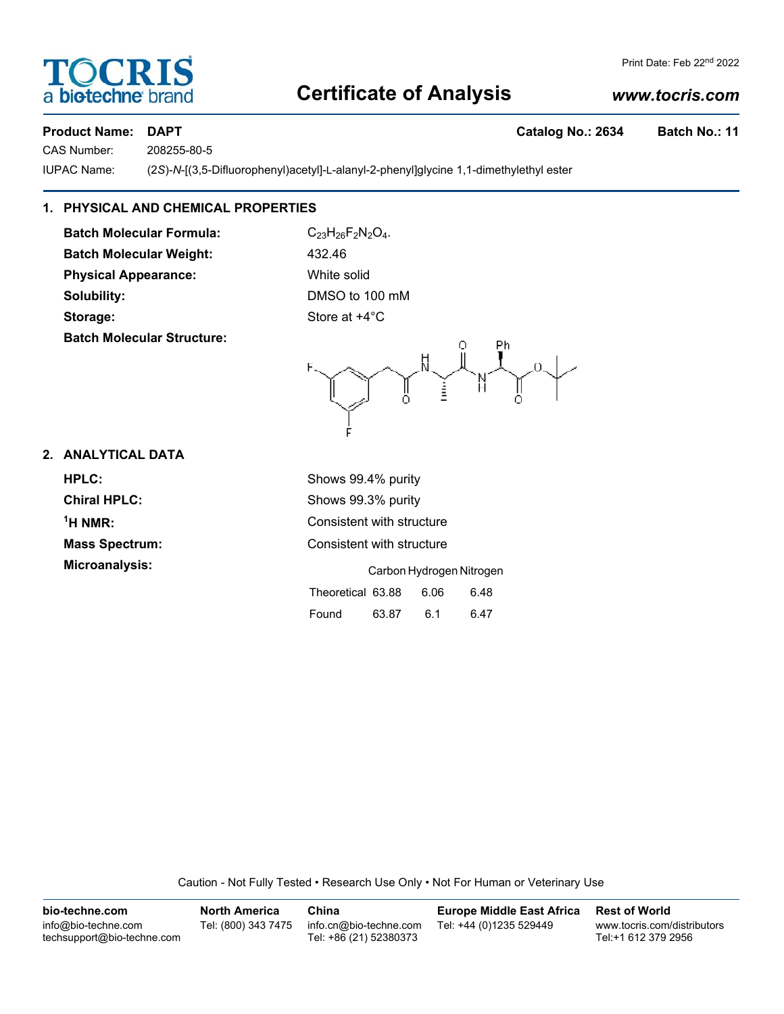# **Certificate of Analysis**

# *www.tocris.com*

Print Date: Feb 22nd 2022

## Product Name: DAPT **Catalog No.: 2634** Batch No.: 11

a **bio-techne** bi

**TOCRIS** 

CAS Number: 208255-80-5

IUPAC Name: (2*S*)-*N*-[(3,5-Difluorophenyl)acetyl]-L-alanyl-2-phenyl]glycine 1,1-dimethylethyl ester

# **1. PHYSICAL AND CHEMICAL PROPERTIES**

Batch Molecular Weight: 432.46 **Solubility:** DMSO to 100 mM **Storage:** Store at  $+4^{\circ}$ C **Batch Molecular Structure:**



# **2. ANALYTICAL DATA**

| HPLC:                 | Shows 99.4% purity                |
|-----------------------|-----------------------------------|
| <b>Chiral HPLC:</b>   | Shows 99.3% purity                |
| $1H NMR$ :            | Consistent with structure         |
| <b>Mass Spectrum:</b> | Consistent with structure         |
| Microanalysis:        | Carbon Hydrogen Nitrogen          |
|                       | Theoretical 63.88<br>6.06<br>6.48 |

Caution - Not Fully Tested • Research Use Only • Not For Human or Veterinary Use

Found 63.87 6.1 6.47

| bio-techne.com                                    | <b>North America</b> | China                                            | <b>Europe Middle East Africa</b> | <b>Rest of World</b>                               |
|---------------------------------------------------|----------------------|--------------------------------------------------|----------------------------------|----------------------------------------------------|
| info@bio-techne.com<br>techsupport@bio-techne.com | Tel: (800) 343 7475  | info.cn@bio-techne.com<br>Tel: +86 (21) 52380373 | Tel: +44 (0)1235 529449          | www.tocris.com/distributors<br>Tel:+1 612 379 2956 |